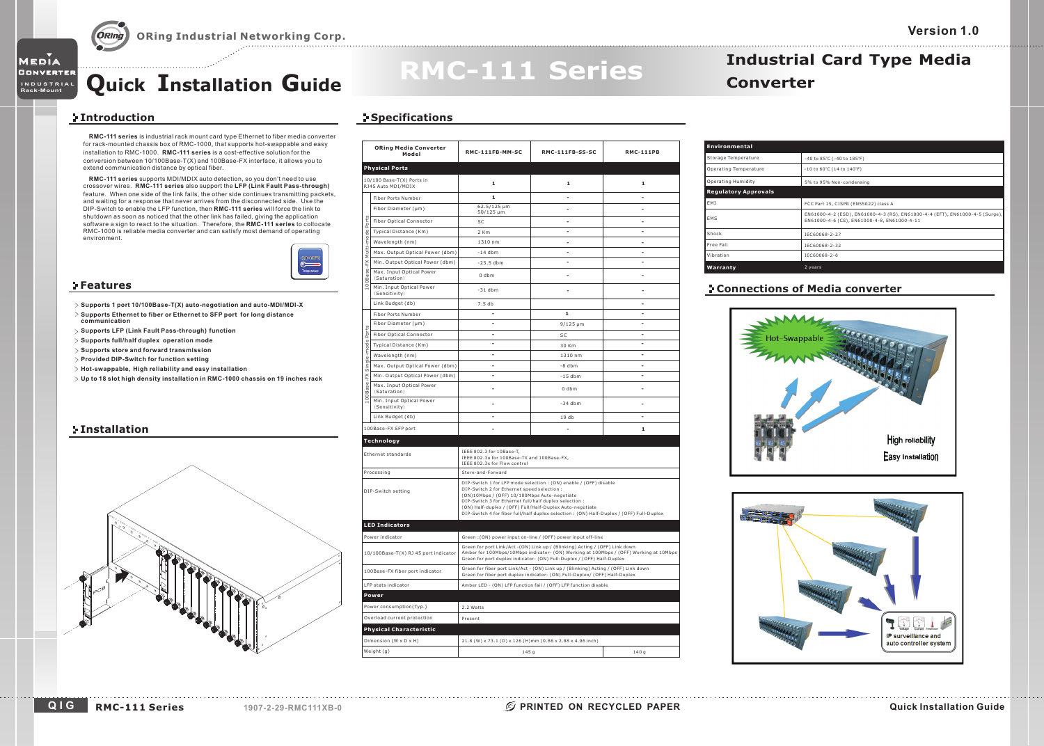# **Quick Installation Guide Converter**

### **Introduction**

Media Converter

**Rack-Mount INDUSTRIAL**

**RMC-111 series** is industrial rack mount card type Ethernet to fiber media converter installation to RMC-1000. **RMC-111 series** is a cost-effective solution for the for rack-mounted chassis box of RMC-1000, that supports hot-swappable and easy conversion between 10/100Base-T(X) and 100Base-FX interface, it allows you to extend communication distance by optical fiber.

**RMC-111 series** supports MDI/MDIX auto detection, so you don't need to use **RMC-111 series LFP (Link Fault Pass-through)** crossover wires. also support the DIP-Switch to enable the LFP function, then **RMC-111 series** will force the link to shutdown as soon as noticed that the other link has failed, giving the application  $\,$ software a sign to react to the situation. Therefore, the **RMC-111 series** to collocate RMC-1000 is reliable media converter and can satisfy most demand of operating feature. When one side of the link fails, the other side continues transmitting packets, and waiting for <sup>a</sup> response that never arrives from the disconnected side. Use the environment.



#### **Features**

- **Supports 1 port 10/100Base-T(X) auto-negotiation and auto-MDI/MDI-X**
- $>$  Supports Ethernet to fiber or Ethernet to SFP port for long distance **communication**
- **Supports LFP (Link Fault Pass-through) function**
- **Supports full/half duplex operation mode**
- **Supports store and forward transmission**
- **Provided DIP-Switch for setting function**
- **Hot-swappable, High reliability and easy installation**
- $\triangleright$  Up to 18 slot high density installation in RMC-1000 chassis on 19 inches rack

#### **Installation**



### **Specifications**

|                                                 | <b>ORing Media Converter</b><br>Model     | RMC-111FB-MM-SC                                                                                                                                                                                                                                                                                                                                                                   | RMC-111FB-SS-SC | <b>RMC-111PB</b> |
|-------------------------------------------------|-------------------------------------------|-----------------------------------------------------------------------------------------------------------------------------------------------------------------------------------------------------------------------------------------------------------------------------------------------------------------------------------------------------------------------------------|-----------------|------------------|
|                                                 | <b>Physical Ports</b>                     |                                                                                                                                                                                                                                                                                                                                                                                   |                 |                  |
| 10/100 Base-T(X) Ports in<br>RJ45 Auto MDI/MDIX |                                           | 1                                                                                                                                                                                                                                                                                                                                                                                 | 1               | 1                |
|                                                 | <b>Fiber Ports Number</b>                 | $\mathbf{1}$                                                                                                                                                                                                                                                                                                                                                                      | ä,              | ÷.               |
|                                                 | Fiber Diameter (µm)                       | 62.5/125 µm<br>50/125 µm                                                                                                                                                                                                                                                                                                                                                          |                 |                  |
| Ports                                           | <b>Fiber Optical Connector</b>            | SC.                                                                                                                                                                                                                                                                                                                                                                               | ٠               | ٠                |
|                                                 | Typical Distance (Km)                     | $2$ Km                                                                                                                                                                                                                                                                                                                                                                            | ÷,              | ÷,               |
|                                                 | Wavelength (nm)                           | 1310 nm                                                                                                                                                                                                                                                                                                                                                                           | ٠               | ٠                |
| Multi-mode                                      | Max. Output Optical Power (dbm)           | $-14$ dbm                                                                                                                                                                                                                                                                                                                                                                         | ٠               | ٠                |
|                                                 | Min. Output Optical Power (dbm)           | $-23.5$ dbm                                                                                                                                                                                                                                                                                                                                                                       |                 |                  |
| 00Base-FX                                       | Max. Input Optical Power<br>(Saturation)  | $0$ dbm                                                                                                                                                                                                                                                                                                                                                                           | ٠               | ÷                |
|                                                 | Min. Input Optical Power<br>(Sensitivity) | $-31$ dbm                                                                                                                                                                                                                                                                                                                                                                         | ÷               |                  |
|                                                 | Link Budget (db)                          | 7.5 db                                                                                                                                                                                                                                                                                                                                                                            |                 | ä,               |
|                                                 | Fiber Ports Number                        | ÷                                                                                                                                                                                                                                                                                                                                                                                 | 1               | ٠                |
|                                                 | Fiber Diameter (µm)                       | ÷,                                                                                                                                                                                                                                                                                                                                                                                | $9/125 \mu m$   | ä,               |
| Ports                                           | <b>Fiber Optical Connector</b>            | ÷,                                                                                                                                                                                                                                                                                                                                                                                | SC              | ٠                |
| Single-mode                                     | Typical Distance (Km)                     | ä,                                                                                                                                                                                                                                                                                                                                                                                | 30 Km           | ä,               |
|                                                 | Wavelength (nm)                           | ٠                                                                                                                                                                                                                                                                                                                                                                                 | 1310 nm         | ٠                |
|                                                 | Max. Output Optical Power (dbm)           | ÷                                                                                                                                                                                                                                                                                                                                                                                 | $-8$ dhm        | ÷.               |
|                                                 | Min. Output Optical Power (dbm)           | ٠                                                                                                                                                                                                                                                                                                                                                                                 | $-15$ dhm       | ٠                |
| LOOBase-FX                                      | Max. Input Optical Power<br>(Saturation)  | ä,                                                                                                                                                                                                                                                                                                                                                                                | $0$ dhm         |                  |
|                                                 | Min. Input Optical Power<br>(Sensitivity) |                                                                                                                                                                                                                                                                                                                                                                                   | $-34$ dhm       |                  |
|                                                 | Link Budget (db)                          | $\overline{a}$                                                                                                                                                                                                                                                                                                                                                                    | 19 db           | ÷.               |
|                                                 | 100Base-FX SFP port                       |                                                                                                                                                                                                                                                                                                                                                                                   | ÷,              | $\mathbf 1$      |
|                                                 | Technology                                |                                                                                                                                                                                                                                                                                                                                                                                   |                 |                  |
|                                                 | Ethernet standards                        | IEEE 802.3 for 10Base-T,<br>IEEE 802.3u for 100Base-TX and 100Base-FX,<br>IEEE 802.3x for Flow control                                                                                                                                                                                                                                                                            |                 |                  |
| Processing                                      |                                           | Store-and-Forward                                                                                                                                                                                                                                                                                                                                                                 |                 |                  |
| DIP-Switch setting                              |                                           | DIP-Switch 1 for LFP mode selection : (ON) enable / (OFF) disable<br>DIP-Switch 2 for Ethernet speed selection :<br>(ON)10Mbps / (OFF) 10/100Mbps Auto-negotiate<br>DIP-Switch 3 for Ethernet full/half duplex selection :<br>(ON) Half-duplex / (OFF) Full/Half-Duplex Auto-negotiate<br>DIP-Switch 4 for fiber full/half duplex selection: (ON) Half-Duplex / (OFF) Full-Duplex |                 |                  |
|                                                 | <b>LED Indicators</b>                     |                                                                                                                                                                                                                                                                                                                                                                                   |                 |                  |
|                                                 | Power indicator                           | Green: (ON) power input on-line / (OFF) power input off-line                                                                                                                                                                                                                                                                                                                      |                 |                  |
| 10/100Base-T(X) RJ 45 port indicator            |                                           | Green for port Link/Act - (ON) Link up / (Blinking) Acting / (OFF) Link down<br>Amber for 100Mbps/10Mbps indicator- (ON) Working at 100Mbps / (OFF) Working at 10Mbps<br>Green for port duplex indicator- (ON) Full-Duplex / (OFF) Half-Duplex                                                                                                                                    |                 |                  |
| 100Base-FX fiber port indicator                 |                                           | Green for fiber port Link/Act - (ON) Link up / (Blinking) Acting / (OFF) Link down<br>Green for fiber port duplex indicator- (ON) Full-Duplex/ (OFF) Half-Duplex                                                                                                                                                                                                                  |                 |                  |
| LFP stats indicator                             |                                           | Amber LED - (ON) LFP function fail / (OFF) LFP function disable                                                                                                                                                                                                                                                                                                                   |                 |                  |
|                                                 | Power                                     |                                                                                                                                                                                                                                                                                                                                                                                   |                 |                  |
|                                                 | Power consumption(Typ.)                   | 2.2 Watts                                                                                                                                                                                                                                                                                                                                                                         |                 |                  |
| Overload current protection                     |                                           | Present                                                                                                                                                                                                                                                                                                                                                                           |                 |                  |
|                                                 | <b>Physical Characteristic</b>            |                                                                                                                                                                                                                                                                                                                                                                                   |                 |                  |
|                                                 | Dimension (W x D x H)                     | 21.8 (W) x 73.1 (D) x 126 (H)mm (0.86 x 2.88 x 4.96 inch)                                                                                                                                                                                                                                                                                                                         |                 |                  |
|                                                 | Weight (g)                                | 145 g                                                                                                                                                                                                                                                                                                                                                                             |                 | 140 g            |
|                                                 |                                           |                                                                                                                                                                                                                                                                                                                                                                                   |                 |                  |

**RMC-111 Series**

| Environmental               |                                                                                                                             |
|-----------------------------|-----------------------------------------------------------------------------------------------------------------------------|
| Storage Temperature         | -40 to 85°C (-40 to 185°F)                                                                                                  |
| Operating Temperature       | $-10$ to $60^{\circ}$ C (14 to $140^{\circ}$ F)                                                                             |
| Operating Humidity          | 5% to 95% Non-condensing                                                                                                    |
| <b>Regulatory Approvals</b> |                                                                                                                             |
| EMI                         | FCC Part 15, CISPR (EN55022) class A                                                                                        |
| EMS                         | EN61000-4-2 (ESD), EN61000-4-3 (RS), EN61000-4-4 (EFT), EN61000-4-5 (Surge),<br>EN61000-4-6 (CS), EN61000-4-8, EN61000-4-11 |

**Industrial Card Type Media**

### **Connections of Media converter**

IEC60068-2-6 IEC60068-2-32

IEC60068-2-27

**Warranty** 2 years

Shock

VibrationFree Fall